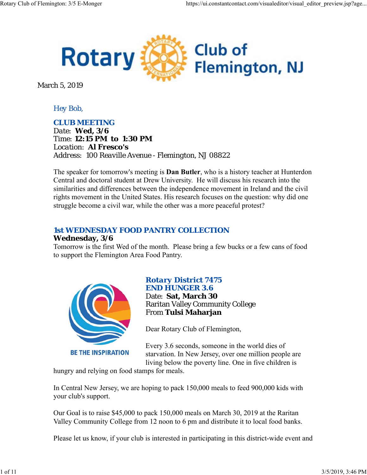

March 5, 2019

# *Hey Bob,*

## *CLUB MEETING*

*Date: Wed, 3/6 Time: 12:15 PM to 1:30 PM Location: Al Fresco's Address: 100 Reaville Avenue - Flemington, NJ 08822*

The speaker for tomorrow's meeting is **Dan Butler**, who is a history teacher at Hunterdon Central and doctoral student at Drew University. He will discuss his research into the similarities and differences between the independence movement in Ireland and the civil rights movement in the United States. His research focuses on the question: why did one struggle become a civil war, while the other was a more peaceful protest?

# *1st WEDNESDAY FOOD PANTRY COLLECTION*

#### **Wednesday, 3/6**

Tomorrow is the first Wed of the month. Please bring a few bucks or a few cans of food to support the Flemington Area Food Pantry.



# *Rotary District 7475 END HUNGER 3.6*

Date: **Sat, March 30** Raritan Valley Community College From **Tulsi Maharjan**

Dear Rotary Club of Flemington,

Every 3.6 seconds, someone in the world dies of starvation. In New Jersey, over one million people are living below the poverty line. One in five children is

hungry and relying on food stamps for meals.

In Central New Jersey, we are hoping to pack 150,000 meals to feed 900,000 kids with your club's support.

Our Goal is to raise \$45,000 to pack 150,000 meals on March 30, 2019 at the Raritan Valley Community College from 12 noon to 6 pm and distribute it to local food banks.

Please let us know, if your club is interested in participating in this district-wide event and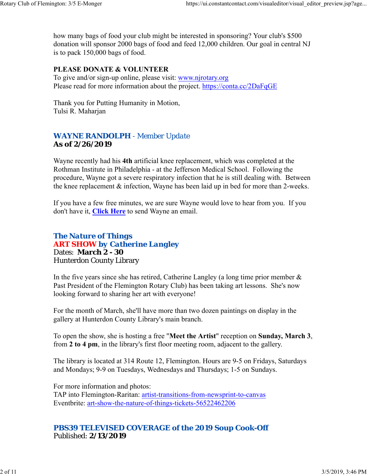how many bags of food your club might be interested in sponsoring? Your club's \$500 donation will sponsor 2000 bags of food and feed 12,000 children. Our goal in central NJ is to pack 150,000 bags of food.

## **PLEASE DONATE & VOLUNTEER**

To give and/or sign-up online, please visit: www.njrotary.org Please read for more information about the project. https://conta.cc/2DaFqGE

Thank you for Putting Humanity in Motion, Tulsi R. Maharjan

# *WAYNE RANDOLPH - Member Update* **As of 2/26/2019**

Wayne recently had his **4th** artificial knee replacement, which was completed at the Rothman Institute in Philadelphia - at the Jefferson Medical School. Following the procedure, Wayne got a severe respiratory infection that he is still dealing with. Between the knee replacement & infection, Wayne has been laid up in bed for more than 2-weeks.

If you have a few free minutes, we are sure Wayne would love to hear from you. If you don't have it, **Click Here** to send Wayne an email.

## *The Nature of Things ART SHOW by Catherine Langley* Dates: **March 2 - 30** Hunterdon County Library

In the five years since she has retired, Catherine Langley (a long time prior member  $\&$ Past President of the Flemington Rotary Club) has been taking art lessons. She's now looking forward to sharing her art with everyone!

For the month of March, she'll have more than two dozen paintings on display in the gallery at Hunterdon County Library's main branch.

To open the show, she is hosting a free "**Meet the Artist**" reception on **Sunday, March 3**, from **2 to 4 pm**, in the library's first floor meeting room, adjacent to the gallery.

The library is located at 314 Route 12, Flemington. Hours are 9-5 on Fridays, Saturdays and Mondays; 9-9 on Tuesdays, Wednesdays and Thursdays; 1-5 on Sundays.

For more information and photos: TAP into Flemington-Raritan: artist-transitions-from-newsprint-to-canvas Eventbrite: art-show-the-nature-of-things-tickets-56522462206

# *PBS39 TELEVISED COVERAGE of the 2019 Soup Cook-Off* Published: **2/13/2019**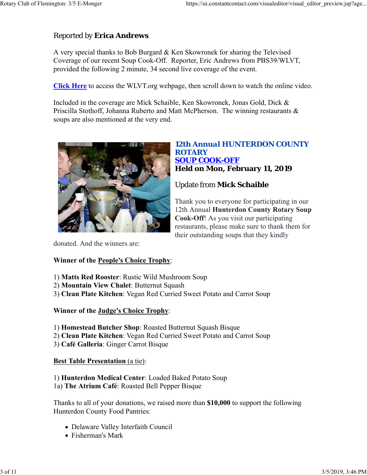# Reported by **Erica Andrews**

A very special thanks to Bob Burgard & Ken Skowronek for sharing the Televised Coverage of our recent Soup Cook-Off. Reporter, Eric Andrews from PBS39/WLVT, provided the following 2 minute, 34 second live coverage of the event.

**Click Here** to access the WLVT.org webpage, then scroll down to watch the online video.

Included in the coverage are Mick Schaible, Ken Skowronek, Jonas Gold, Dick & Priscilla Stothoff, Johanna Ruberto and Matt McPherson. The winning restaurants & soups are also mentioned at the very end.



## *12th Annual HUNTERDON COUNTY ROTARY SOUP COOK-OFF* **Held on Mon, February 11, 2019**

# Update from **Mick Schaible**

Thank you to everyone for participating in our 12th Annual **Hunterdon County Rotary Soup Cook-Off**! As you visit our participating restaurants, please make sure to thank them for their outstanding soups that they kindly

donated. And the winners are:

## **Winner of the People's Choice Trophy**:

- 1) **Matts Red Rooster**: Rustic Wild Mushroom Soup
- 2) **Mountain View Chalet**: Butternut Squash
- 3) **Clean Plate Kitchen**: Vegan Red Curried Sweet Potato and Carrot Soup

## **Winner of the Judge's Choice Trophy**:

- 1) **Homestead Butcher Shop**: Roasted Butternut Squash Bisque
- 2) **Clean Plate Kitchen**: Vegan Red Curried Sweet Potato and Carrot Soup
- 3) **Café Galleria**: Ginger Carrot Bisque

## **Best Table Presentation** (a tie):

1) **Hunterdon Medical Center**: Loaded Baked Potato Soup 1a) **The Atrium Café**: Roasted Bell Pepper Bisque

Thanks to all of your donations, we raised more than **\$10,000** to support the following Hunterdon County Food Pantries:

- Delaware Valley Interfaith Council
- Fisherman's Mark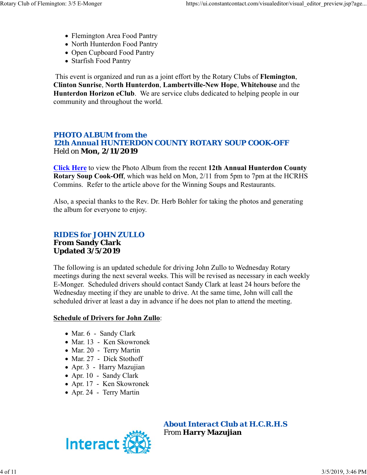- Flemington Area Food Pantry
- North Hunterdon Food Pantry
- Open Cupboard Food Pantry
- Starfish Food Pantry

This event is organized and run as a joint effort by the Rotary Clubs of **Flemington**, **Clinton Sunrise**, **North Hunterdon**, **Lambertville-New Hope**, **Whitehouse** and the **Hunterdon Horizon eClub**. We are service clubs dedicated to helping people in our community and throughout the world.

# *PHOTO ALBUM from the 12th Annual HUNTERDON COUNTY ROTARY SOUP COOK-OFF* Held on **Mon, 2/11/2019**

**Click Here** to view the Photo Album from the recent **12th Annual Hunterdon County Rotary Soup Cook-Off**, which was held on Mon, 2/11 from 5pm to 7pm at the HCRHS Commins. Refer to the article above for the Winning Soups and Restaurants.

Also, a special thanks to the Rev. Dr. Herb Bohler for taking the photos and generating the album for everyone to enjoy.

# *RIDES for JOHN ZULLO* **From Sandy Clark Updated 3/5/2019**

The following is an updated schedule for driving John Zullo to Wednesday Rotary meetings during the next several weeks. This will be revised as necessary in each weekly E-Monger. Scheduled drivers should contact Sandy Clark at least 24 hours before the Wednesday meeting if they are unable to drive. At the same time, John will call the scheduled driver at least a day in advance if he does not plan to attend the meeting.

## **Schedule of Drivers for John Zullo**:

- Mar. 6 Sandy Clark
- Mar. 13 Ken Skowronek
- Mar. 20 Terry Martin
- Mar. 27 Dick Stothoff
- Apr. 3 Harry Mazujian
- Apr. 10 Sandy Clark
- Apr. 17 Ken Skowronek
- Apr. 24 Terry Martin



*About Interact Club at H.C.R.H.S* From **Harry Mazujian**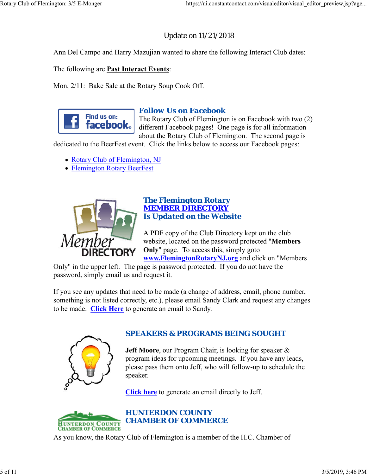# Update on 11/21/2018

Ann Del Campo and Harry Mazujian wanted to share the following Interact Club dates:

The following are **Past Interact Events**:

Mon, 2/11: Bake Sale at the Rotary Soup Cook Off.



## *Follow Us on Facebook*

The Rotary Club of Flemington is on Facebook with two (2) different Facebook pages! One page is for all information about the Rotary Club of Flemington. The second page is

dedicated to the BeerFest event. Click the links below to access our Facebook pages:

- Rotary Club of Flemington, NJ
- Flemington Rotary BeerFest



## *The Flemington Rotary MEMBER DIRECTORY Is Updated on the Website*

A PDF copy of the Club Directory kept on the club website, located on the password protected "**Members Only**" page. To access this, simply goto **www.FlemingtonRotaryNJ.org** and click on "Members

Only" in the upper left. The page is password protected. If you do not have the password, simply email us and request it.

If you see any updates that need to be made (a change of address, email, phone number, something is not listed correctly, etc.), please email Sandy Clark and request any changes to be made. **Click Here** to generate an email to Sandy.



# *SPEAKERS & PROGRAMS BEING SOUGHT*

**Jeff Moore**, our Program Chair, is looking for speaker & program ideas for upcoming meetings. If you have any leads, please pass them onto Jeff, who will follow-up to schedule the speaker.

**Click here** to generate an email directly to Jeff.



As you know, the Rotary Club of Flemington is a member of the H.C. Chamber of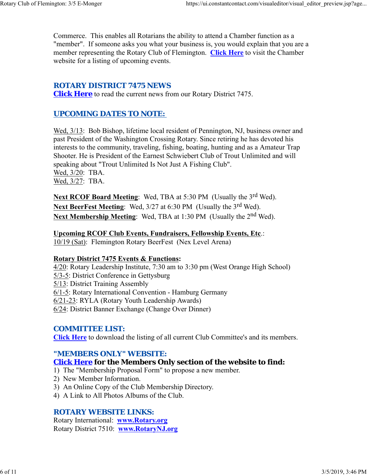Commerce. This enables all Rotarians the ability to attend a Chamber function as a "member". If someone asks you what your business is, you would explain that you are a member representing the Rotary Club of Flemington. **Click Here** to visit the Chamber website for a listing of upcoming events.

# *ROTARY DISTRICT 7475 NEWS*

**Click Here** to read the current news from our Rotary District 7475.

# *UPCOMING DATES TO NOTE:*

Wed,  $3/13$ : Bob Bishop, lifetime local resident of Pennington, NJ, business owner and past President of the Washington Crossing Rotary. Since retiring he has devoted his interests to the community, traveling, fishing, boating, hunting and as a Amateur Trap Shooter. He is President of the Earnest Schwiebert Club of Trout Unlimited and will speaking about "Trout Unlimited Is Not Just A Fishing Club". Wed, 3/20: TBA. Wed, 3/27: TBA.

**Next RCOF Board Meeting:** Wed, TBA at 5:30 PM (Usually the 3<sup>rd</sup> Wed). Next BeerFest Meeting: Wed, 3/27 at 6:30 PM (Usually the 3<sup>rd</sup> Wed). Next Membership Meeting: Wed, TBA at 1:30 PM (Usually the 2<sup>nd</sup> Wed).

**Upcoming RCOF Club Events, Fundraisers, Fellowship Events, Etc**.: 10/19 (Sat): Flemington Rotary BeerFest (Nex Level Arena)

## **Rotary District 7475 Events & Functions:**

4/20: Rotary Leadership Institute, 7:30 am to 3:30 pm (West Orange High School) 5/3-5: District Conference in Gettysburg 5/13: District Training Assembly 6/1-5: Rotary International Convention - Hamburg Germany 6/21-23: RYLA (Rotary Youth Leadership Awards) 6/24: District Banner Exchange (Change Over Dinner)

## *COMMITTEE LIST:*

**Click Here** to download the listing of all current Club Committee's and its members.

## *"MEMBERS ONLY" WEBSITE:*

## **Click Here for the Members Only section of the website to find:**

- 1) The "Membership Proposal Form" to propose a new member.
- 2) New Member Information.
- 3) An Online Copy of the Club Membership Directory.
- 4) A Link to All Photos Albums of the Club.

## *ROTARY WEBSITE LINKS:*

Rotary International: **www.Rotary.org** Rotary District 7510: **www.RotaryNJ.org**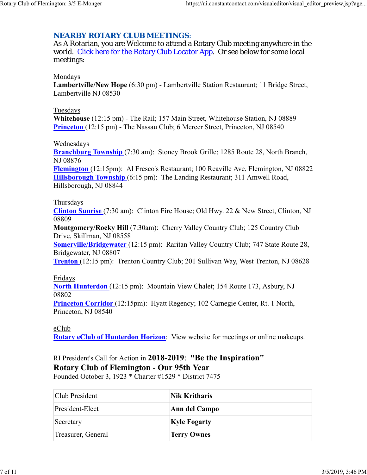# *NEARBY ROTARY CLUB MEETINGS:*

As A Rotarian, you are Welcome to attend a Rotary Club meeting anywhere in the world. Click here for the Rotary Club Locator App. Or see below for some local meetings:

#### Mondays

**Lambertville/New Hope** (6:30 pm) - Lambertville Station Restaurant; 11 Bridge Street, Lambertville NJ 08530

#### Tuesdays

**Whitehouse** (12:15 pm) - The Rail; 157 Main Street, Whitehouse Station, NJ 08889 **Princeton** (12:15 pm) - The Nassau Club; 6 Mercer Street, Princeton, NJ 08540

## Wednesdays

**Branchburg Township** (7:30 am): Stoney Brook Grille; 1285 Route 28, North Branch, NJ 08876

**Flemington** (12:15pm): Al Fresco's Restaurant; 100 Reaville Ave, Flemington, NJ 08822 **Hillsborough Township** (6:15 pm): The Landing Restaurant; 311 Amwell Road, Hillsborough, NJ 08844

#### Thursdays

**Clinton Sunrise** (7:30 am): Clinton Fire House; Old Hwy. 22 & New Street, Clinton, NJ 08809

**Montgomery/Rocky Hill** (7:30am): Cherry Valley Country Club; 125 Country Club Drive, Skillman, NJ 08558

**Somerville/Bridgewater** (12:15 pm): Raritan Valley Country Club; 747 State Route 28, Bridgewater, NJ 08807

**Trenton** (12:15 pm): Trenton Country Club; 201 Sullivan Way, West Trenton, NJ 08628

## Fridays

**North Hunterdon** (12:15 pm): Mountain View Chalet; 154 Route 173, Asbury, NJ 08802

**Princeton Corridor** (12:15pm): Hyatt Regency; 102 Carnegie Center, Rt. 1 North, Princeton, NJ 08540

## eClub

**Rotary eClub of Hunterdon Horizon**: View website for meetings or online makeups.

# RI President's Call for Action in **2018-2019**: **"Be the Inspiration" Rotary Club of Flemington - Our 95th Year**

Founded October 3, 1923 \* Charter #1529 \* District 7475

| Club President     | Nik Kritharis       |
|--------------------|---------------------|
| President-Elect    | Ann del Campo       |
| Secretary          | <b>Kyle Fogarty</b> |
| Treasurer, General | <b>Terry Ownes</b>  |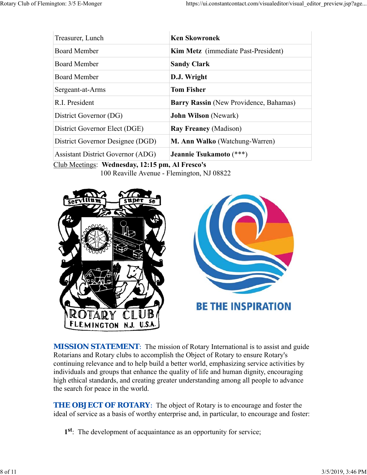| Treasurer, Lunch                         | <b>Ken Skowronek</b>                   |
|------------------------------------------|----------------------------------------|
| <b>Board Member</b>                      | Kim Metz (immediate Past-President)    |
| <b>Board Member</b>                      | <b>Sandy Clark</b>                     |
| Board Member                             | D.J. Wright                            |
| Sergeant-at-Arms                         | <b>Tom Fisher</b>                      |
| R.I. President                           | Barry Rassin (New Providence, Bahamas) |
| District Governor (DG)                   | <b>John Wilson</b> (Newark)            |
| District Governor Elect (DGE)            | <b>Ray Freaney (Madison)</b>           |
| District Governor Designee (DGD)         | M. Ann Walko (Watchung-Warren)         |
| <b>Assistant District Governor (ADG)</b> | Jeannie Tsukamoto (***)                |

Club Meetings: **Wednesday, 12:15 pm, Al Fresco's** 100 Reaville Avenue - Flemington, NJ 08822





**MISSION STATEMENT:** The mission of Rotary International is to assist and guide Rotarians and Rotary clubs to accomplish the Object of Rotary to ensure Rotary's continuing relevance and to help build a better world, emphasizing service activities by individuals and groups that enhance the quality of life and human dignity, encouraging high ethical standards, and creating greater understanding among all people to advance the search for peace in the world.

**THE OBJECT OF ROTARY:** The object of Rotary is to encourage and foster the ideal of service as a basis of worthy enterprise and, in particular, to encourage and foster:

**1st**: The development of acquaintance as an opportunity for service;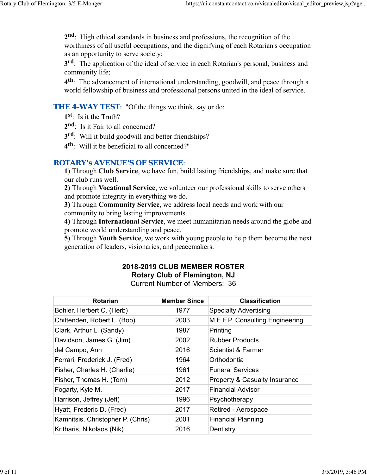**2nd**: High ethical standards in business and professions, the recognition of the worthiness of all useful occupations, and the dignifying of each Rotarian's occupation as an opportunity to serve society;

**3rd**: The application of the ideal of service in each Rotarian's personal, business and community life;

**4th**: The advancement of international understanding, goodwill, and peace through a world fellowship of business and professional persons united in the ideal of service.

## **THE 4-WAY TEST:** "Of the things we think, say or do:

- **1st**: Is it the Truth?
- 2<sup>nd</sup>: Is it Fair to all concerned?
- **3rd**: Will it build goodwill and better friendships?
- **4th**: Will it be beneficial to all concerned?"

## *ROTARY's AVENUE'S OF SERVICE*:

**1)** Through **Club Service**, we have fun, build lasting friendships, and make sure that our club runs well.

**2)** Through **Vocational Service**, we volunteer our professional skills to serve others and promote integrity in everything we do.

**3)** Through **Community Service**, we address local needs and work with our community to bring lasting improvements.

**4)** Through **International Service**, we meet humanitarian needs around the globe and promote world understanding and peace.

**5)** Through **Youth Service**, we work with young people to help them become the next generation of leaders, visionaries, and peacemakers.

# **2018-2019 CLUB MEMBER ROSTER Rotary Club of Flemington, NJ**

Current Number of Members: 36

| Rotarian                          | <b>Member Since</b> | <b>Classification</b>           |
|-----------------------------------|---------------------|---------------------------------|
| Bohler, Herbert C. (Herb)         | 1977                | <b>Specialty Advertising</b>    |
| Chittenden, Robert L. (Bob)       | 2003                | M.E.F.P. Consulting Engineering |
| Clark, Arthur L. (Sandy)          | 1987                | Printing                        |
| Davidson, James G. (Jim)          | 2002                | <b>Rubber Products</b>          |
| del Campo, Ann                    | 2016                | Scientist & Farmer              |
| Ferrari, Frederick J. (Fred)      | 1964                | Orthodontia                     |
| Fisher, Charles H. (Charlie)      | 1961                | <b>Funeral Services</b>         |
| Fisher, Thomas H. (Tom)           | 2012                | Property & Casualty Insurance   |
| Fogarty, Kyle M.                  | 2017                | Financial Advisor               |
| Harrison, Jeffrey (Jeff)          | 1996                | Psychotherapy                   |
| Hyatt, Frederic D. (Fred)         | 2017                | Retired - Aerospace             |
| Kamnitsis, Christopher P. (Chris) | 2001                | <b>Financial Planning</b>       |
| Kritharis, Nikolaos (Nik)         | 2016                | Dentistry                       |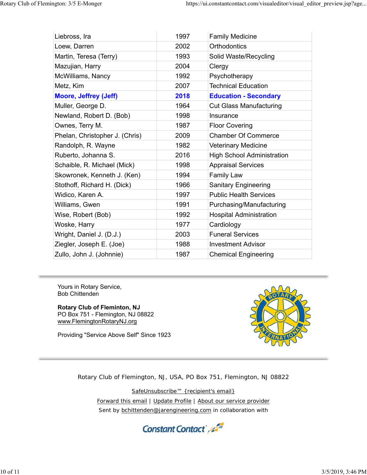| Liebross, Ira                  | 1997 | <b>Family Medicine</b>            |
|--------------------------------|------|-----------------------------------|
| Loew, Darren                   | 2002 | <b>Orthodontics</b>               |
| Martin, Teresa (Terry)         | 1993 | Solid Waste/Recycling             |
| Mazujian, Harry                | 2004 | Clergy                            |
| McWilliams, Nancy              | 1992 | Psychotherapy                     |
| Metz, Kim                      | 2007 | <b>Technical Education</b>        |
| <b>Moore, Jeffrey (Jeff)</b>   | 2018 | <b>Education - Secondary</b>      |
| Muller, George D.              | 1964 | <b>Cut Glass Manufacturing</b>    |
| Newland, Robert D. (Bob)       | 1998 | Insurance                         |
| Ownes, Terry M.                | 1987 | <b>Floor Covering</b>             |
| Phelan, Christopher J. (Chris) | 2009 | <b>Chamber Of Commerce</b>        |
| Randolph, R. Wayne             | 1982 | Veterinary Medicine               |
| Ruberto, Johanna S.            | 2016 | <b>High School Administration</b> |
| Schaible, R. Michael (Mick)    | 1998 | <b>Appraisal Services</b>         |
| Skowronek, Kenneth J. (Ken)    | 1994 | <b>Family Law</b>                 |
| Stothoff, Richard H. (Dick)    | 1966 | <b>Sanitary Engineering</b>       |
| Widico, Karen A.               | 1997 | <b>Public Health Services</b>     |
| Williams, Gwen                 | 1991 | Purchasing/Manufacturing          |
| Wise, Robert (Bob)             | 1992 | <b>Hospital Administration</b>    |
| Woske, Harry                   | 1977 | Cardiology                        |
| Wright, Daniel J. (D.J.)       | 2003 | <b>Funeral Services</b>           |
| Ziegler, Joseph E. (Joe)       | 1988 | <b>Investment Advisor</b>         |
| Zullo, John J. (Johnnie)       | 1987 | <b>Chemical Engineering</b>       |

Yours in Rotary Service, Bob Chittenden

**Rotary Club of Fleminton, NJ** PO Box 751 - Flemington, NJ 08822 www.FlemingtonRotaryNJ.org

Providing "Service Above Self" Since 1923



Rotary Club of Flemington, NJ, USA, PO Box 751, Flemington, NJ 08822

SafeUnsubscribe™ {recipient's email} Forward this email | Update Profile | About our service provider Sent by bchittenden@jarengineering.com in collaboration with